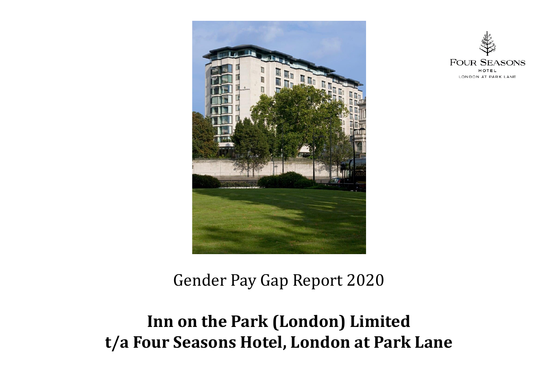



### Gender Pay Gap Report 2020

### **Inn on the Park (London) Limited t/a Four Seasons Hotel, London at Park Lane**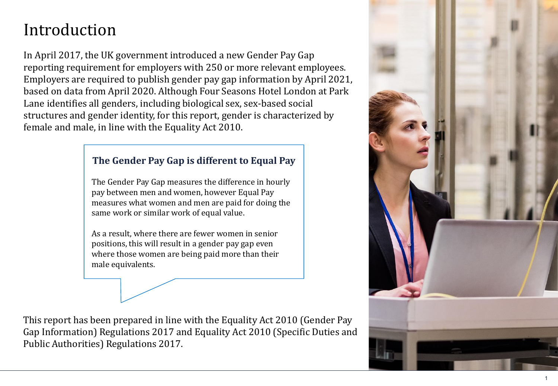# Introduction

In April 2017, the UK government introduced a new Gender Pay Gap reporting requirement for employers with 250 or more relevant employees. Employers are required to publish gender pay gap information by April 2021, based on data from April 2020. Although Four Seasons Hotel London at Park Lane identifies all genders, including biological sex, sex-based social structures and gender identity, for this report, gender is characterized by female and male, in line with the Equality Act 2010.

#### **The Gender Pay Gap is different to Equal Pay**

The Gender Pay Gap measures the difference in hourly pay between men and women, however Equal Pay measures what women and men are paid for doing the same work or similar work of equal value.

As a result, where there are fewer women in senior positions, this will result in a gender pay gap even where those women are being paid more than their male equivalents.

This report has been prepared in line with the Equality Act 2010 (Gender Pay Gap Information) Regulations 2017 and Equality Act 2010 (Specific Duties and Public Authorities) Regulations 2017.

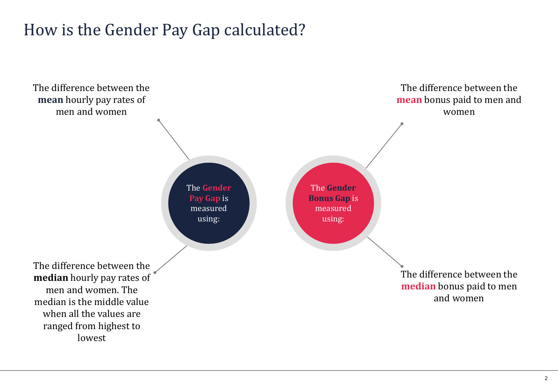## How is the Gender Pay Gap calculated?



2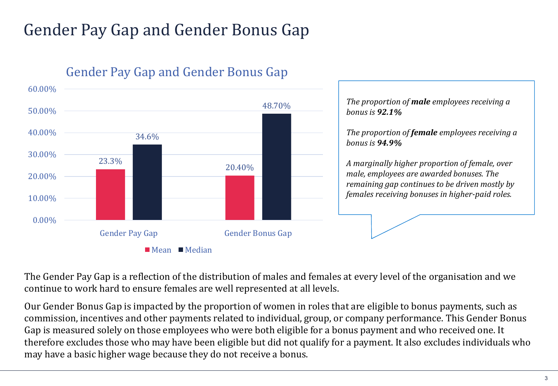# Gender Pay Gap and Gender Bonus Gap



### **Gender Pay Gap and Gender Bonus Gap**

*The proportion of male employees receiving a bonus is 92.1%*

*The proportion of female employees receiving a bonus is 94.9%*

*A marginally higher proportion of female, over male, employees are awarded bonuses. The remaining gap continues to be driven mostly by females receiving bonuses in higher-paid roles.*

The Gender Pay Gap is a reflection of the distribution of males and females at every level of the organisation and we continue to work hard to ensure females are well represented at all levels.

Our Gender Bonus Gap is impacted by the proportion of women in roles that are eligible to bonus payments, such as commission, incentives and other payments related to individual, group, or company performance. This Gender Bonus Gap is measured solely on those employees who were both eligible for a bonus payment and who received one. It therefore excludes those who may have been eligible but did not qualify for a payment. It also excludes individuals who may have a basic higher wage because they do not receive a bonus.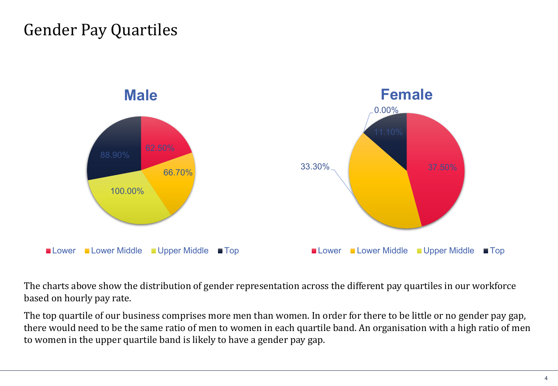## Gender Pay Quartiles



The charts above show the distribution of gender representation across the different pay quartiles in our workforce based on hourly pay rate.

The top quartile of our business comprises more men than women. In order for there to be little or no gender pay gap, there would need to be the same ratio of men to women in each quartile band. An organisation with a high ratio of men to women in the upper quartile band is likely to have a gender pay gap.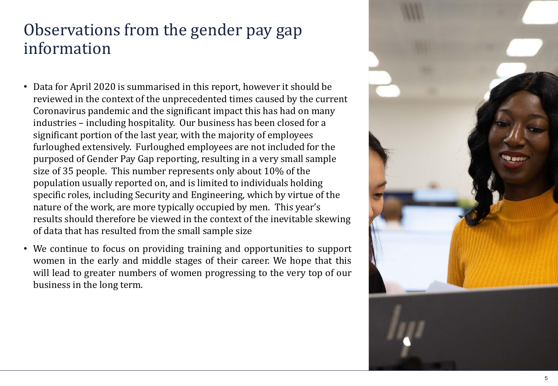### Observations from the gender pay gap information

- Data for April 2020 is summarised in this report, however it should be reviewed in the context of the unprecedented times caused by the current Coronavirus pandemic and the significant impact this has had on many industries – including hospitality. Our business has been closed for a significant portion of the last year, with the majority of employees furloughed extensively. Furloughed employees are not included for the purposed of Gender Pay Gap reporting, resulting in a very small sample size of 35 people. This number represents only about 10% of the population usually reported on, and is limited to individuals holding specific roles, including Security and Engineering, which by virtue of the nature of the work, are more typically occupied by men. This year's results should therefore be viewed in the context of the inevitable skewing of data that has resulted from the small sample size
- We continue to focus on providing training and opportunities to support women in the early and middle stages of their career. We hope that this will lead to greater numbers of women progressing to the very top of our business in the long term.

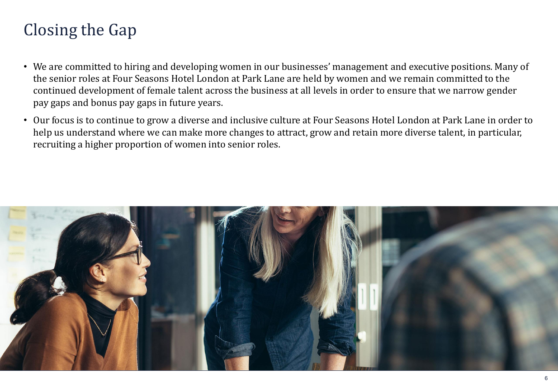# Closing the Gap

- We are committed to hiring and developing women in our businesses' management and executive positions. Many of the senior roles at Four Seasons Hotel London at Park Lane are held by women and we remain committed to the continued development of female talent across the business at all levels in order to ensure that we narrow gender pay gaps and bonus pay gaps in future years.
- Our focus is to continue to grow a diverse and inclusive culture at Four Seasons Hotel London at Park Lane in order to help us understand where we can make more changes to attract, grow and retain more diverse talent, in particular, recruiting a higher proportion of women into senior roles.